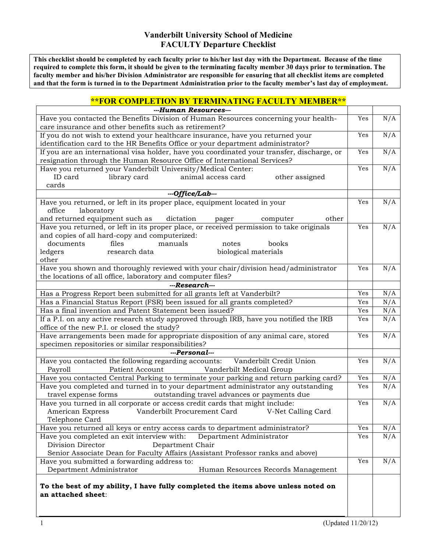## **Vanderbilt University School of Medicine FACULTY Departure Checklist**

**This checklist should be completed by each faculty prior to his/her last day with the Department. Because of the time required to complete this form, it should be given to the terminating faculty member 30 days prior to termination. The faculty member and his/her Division Administrator are responsible for ensuring that all checklist items are completed and that the form is turned in to the Department Administration prior to the faculty member's last day of employment.**

## **\*\*FOR COMPLETION BY TERMINATING FACULTY MEMBER\*\***

| ---Human Resources---                                                                      |     |     |
|--------------------------------------------------------------------------------------------|-----|-----|
| Have you contacted the Benefits Division of Human Resources concerning your health-        | Yes | N/A |
| care insurance and other benefits such as retirement?                                      |     |     |
| If you do not wish to extend your healthcare insurance, have you returned your             | Yes | N/A |
| identification card to the HR Benefits Office or your department administrator?            |     |     |
| If you are an international visa holder, have you coordinated your transfer, discharge, or | Yes | N/A |
| resignation through the Human Resource Office of International Services?                   |     |     |
| Have you returned your Vanderbilt University/Medical Center:                               | Yes | N/A |
| ID card<br>library card<br>animal access card<br>other assigned                            |     |     |
| cards                                                                                      |     |     |
| ---Office/Lab---                                                                           |     |     |
| Have you returned, or left in its proper place, equipment located in your                  | Yes | N/A |
| laboratory<br>office                                                                       |     |     |
| and returned equipment such as<br>dictation<br>other<br>pager<br>computer                  |     |     |
| Have you returned, or left in its proper place, or received permission to take originals   | Yes | N/A |
| and copies of all hard-copy and computerized:                                              |     |     |
| documents<br>files<br>manuals<br>books<br>notes                                            |     |     |
| research data<br>biological materials<br>ledgers                                           |     |     |
| other                                                                                      |     |     |
| Have you shown and thoroughly reviewed with your chair/division head/administrator         | Yes | N/A |
| the locations of all office, laboratory and computer files?                                |     |     |
| ---Research---                                                                             |     |     |
| Has a Progress Report been submitted for all grants left at Vanderbilt?                    | Yes | N/A |
| Has a Financial Status Report (FSR) been issued for all grants completed?                  | Yes | N/A |
| Has a final invention and Patent Statement been issued?                                    | Yes | N/A |
| If a P.I. on any active research study approved through IRB, have you notified the IRB     | Yes | N/A |
| office of the new P.I. or closed the study?                                                |     |     |
| Have arrangements been made for appropriate disposition of any animal care, stored         | Yes | N/A |
| specimen repositories or similar responsibilities?                                         |     |     |
| ---Personal---                                                                             |     |     |
| Have you contacted the following regarding accounts:<br>Vanderbilt Credit Union            | Yes | N/A |
| Patient Account<br>Vanderbilt Medical Group<br>Payroll                                     |     |     |
| Have you contacted Central Parking to terminate your parking and return parking card?      | Yes | N/A |
| Have you completed and turned in to your department administrator any outstanding          | Yes | N/A |
| outstanding travel advances or payments due<br>travel expense forms                        |     |     |
| Have you turned in all corporate or access credit cards that might include:                | Yes | N/A |
| Vanderbilt Procurement Card<br>American Express<br>V-Net Calling Card                      |     |     |
| Telephone Card                                                                             |     |     |
| Have you returned all keys or entry access cards to department administrator?              | Yes | N/A |
| Have you completed an exit interview with:<br>Department Administrator                     | Yes | N/A |
| Division Director<br>Department Chair                                                      |     |     |
| Senior Associate Dean for Faculty Affairs (Assistant Professor ranks and above)            |     |     |
| Have you submitted a forwarding address to:                                                | Yes | N/A |
| Department Administrator<br>Human Resources Records Management                             |     |     |
| To the best of my ability, I have fully completed the items above unless noted on          |     |     |
| an attached sheet:                                                                         |     |     |
|                                                                                            |     |     |